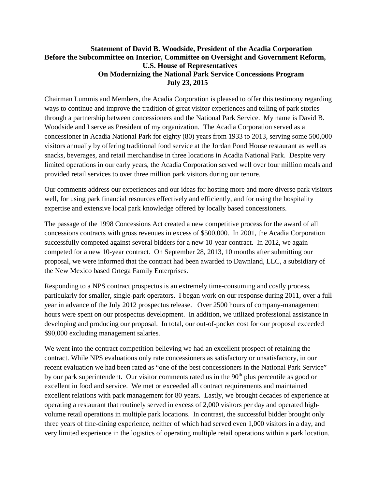## **Statement of David B. Woodside, President of the Acadia Corporation Before the Subcommittee on Interior, Committee on Oversight and Government Reform, U.S. House of Representatives On Modernizing the National Park Service Concessions Program July 23, 2015**

Chairman Lummis and Members, the Acadia Corporation is pleased to offer this testimony regarding ways to continue and improve the tradition of great visitor experiences and telling of park stories through a partnership between concessioners and the National Park Service. My name is David B. Woodside and I serve as President of my organization. The Acadia Corporation served as a concessioner in Acadia National Park for eighty (80) years from 1933 to 2013, serving some 500,000 visitors annually by offering traditional food service at the Jordan Pond House restaurant as well as snacks, beverages, and retail merchandise in three locations in Acadia National Park. Despite very limited operations in our early years, the Acadia Corporation served well over four million meals and provided retail services to over three million park visitors during our tenure.

Our comments address our experiences and our ideas for hosting more and more diverse park visitors well, for using park financial resources effectively and efficiently, and for using the hospitality expertise and extensive local park knowledge offered by locally based concessioners.

The passage of the 1998 Concessions Act created a new competitive process for the award of all concessions contracts with gross revenues in excess of \$500,000. In 2001, the Acadia Corporation successfully competed against several bidders for a new 10-year contract. In 2012, we again competed for a new 10-year contract. On September 28, 2013, 10 months after submitting our proposal, we were informed that the contract had been awarded to Dawnland, LLC, a subsidiary of the New Mexico based Ortega Family Enterprises.

Responding to a NPS contract prospectus is an extremely time-consuming and costly process, particularly for smaller, single-park operators. I began work on our response during 2011, over a full year in advance of the July 2012 prospectus release. Over 2500 hours of company-management hours were spent on our prospectus development. In addition, we utilized professional assistance in developing and producing our proposal. In total, our out-of-pocket cost for our proposal exceeded \$90,000 excluding management salaries.

We went into the contract competition believing we had an excellent prospect of retaining the contract. While NPS evaluations only rate concessioners as satisfactory or unsatisfactory, in our recent evaluation we had been rated as "one of the best concessioners in the National Park Service" by our park superintendent. Our visitor comments rated us in the  $90<sup>th</sup>$  plus percentile as good or excellent in food and service. We met or exceeded all contract requirements and maintained excellent relations with park management for 80 years. Lastly, we brought decades of experience at operating a restaurant that routinely served in excess of 2,000 visitors per day and operated highvolume retail operations in multiple park locations. In contrast, the successful bidder brought only three years of fine-dining experience, neither of which had served even 1,000 visitors in a day, and very limited experience in the logistics of operating multiple retail operations within a park location.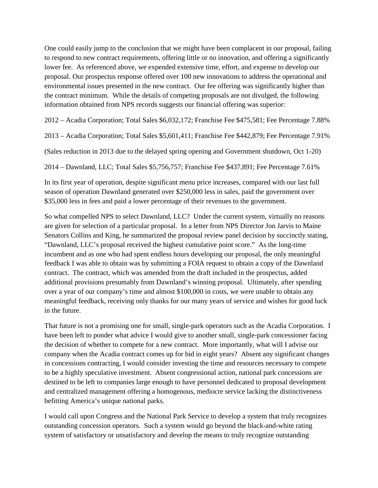One could easily jump to the conclusion that we might have been complacent in our proposal, failing to respond to new contract requirements, offering little or no innovation, and offering a significantly lower fee. As referenced above, we expended extensive time, effort, and expense to develop our proposal. Our prospectus response offered over 100 new innovations to address the operational and environmental issues presented in the new contract. Our fee offering was significantly higher than the contract minimum. While the details of competing proposals are not divulged, the following information obtained from NPS records suggests our financial offering was superior:

2012 – Acadia Corporation; Total Sales \$6,032,172; Franchise Fee \$475,581; Fee Percentage 7.88%

2013 – Acadia Corporation; Total Sales \$5,601,411; Franchise Fee \$442,879; Fee Percentage 7.91%

(Sales reduction in 2013 due to the delayed spring opening and Government shutdown, Oct 1-20)

2014 – Dawnland, LLC; Total Sales \$5,756,757; Franchise Fee \$437,891; Fee Percentage 7.61%

In its first year of operation, despite significant menu price increases, compared with our last full season of operation Dawnland generated over \$250,000 less in sales, paid the government over \$35,000 less in fees and paid a lower percentage of their revenues to the government.

So what compelled NPS to select Dawnland, LLC? Under the current system, virtually no reasons are given for selection of a particular proposal. In a letter from NPS Director Jon Jarvis to Maine Senators Collins and King, he summarized the proposal review panel decision by succinctly stating, "Dawnland, LLC's proposal received the highest cumulative point score." As the long-time incumbent and as one who had spent endless hours developing our proposal, the only meaningful feedback I was able to obtain was by submitting a FOIA request to obtain a copy of the Dawnland contract. The contract, which was amended from the draft included in the prospectus, added additional provisions presumably from Dawnland's winning proposal. Ultimately, after spending over a year of our company's time and almost \$100,000 in costs, we were unable to obtain any meaningful feedback, receiving only thanks for our many years of service and wishes for good luck in the future.

That future is not a promising one for small, single-park operators such as the Acadia Corporation. I have been left to ponder what advice I would give to another small, single-park concessioner facing the decision of whether to compete for a new contract. More importantly, what will I advise our company when the Acadia contract comes up for bid in eight years? Absent any significant changes in concessions contracting, I would consider investing the time and resources necessary to compete to be a highly speculative investment. Absent congressional action, national park concessions are destined to be left to companies large enough to have personnel dedicated to proposal development and centralized management offering a homogenous, mediocre service lacking the distinctiveness befitting America's unique national parks.

I would call upon Congress and the National Park Service to develop a system that truly recognizes outstanding concession operators. Such a system would go beyond the black-and-white rating system of satisfactory or unsatisfactory and develop the means to truly recognize outstanding